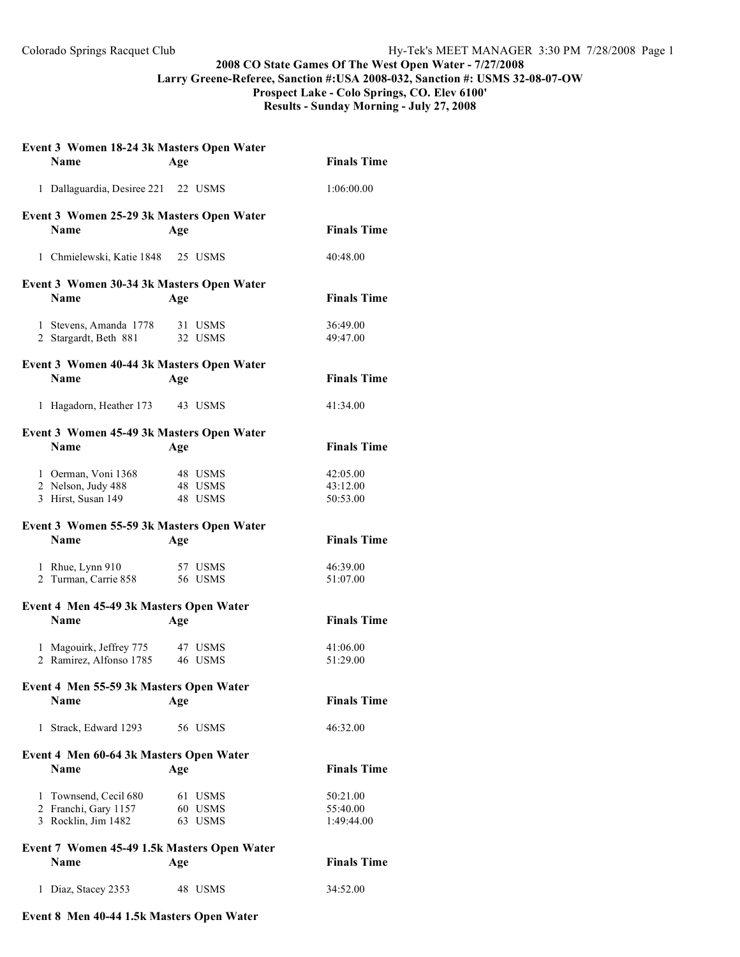## **2008 CO State Games Of The West Open Water - 7/27/2008 Larry Greene-Referee, Sanction #:USA 2008-032, Sanction #: USMS 32-08-07-OW**

**Prospect Lake - Colo Springs, CO. Elev 6100' Results - Sunday Morning - July 27, 2008**

|                                           | Event 3 Women 18-24 3k Masters Open Water              |     |                    |                      |  |  |
|-------------------------------------------|--------------------------------------------------------|-----|--------------------|----------------------|--|--|
|                                           | <b>Name</b>                                            | Age |                    | <b>Finals Time</b>   |  |  |
|                                           | 1 Dallaguardia, Desiree 221 22 USMS                    |     |                    | 1:06:00.00           |  |  |
| Event 3 Women 25-29 3k Masters Open Water |                                                        |     |                    |                      |  |  |
|                                           | <b>Name</b>                                            | Age |                    | <b>Finals Time</b>   |  |  |
|                                           | 1 Chmielewski, Katie 1848 25 USMS                      |     |                    | 40:48.00             |  |  |
|                                           | Event 3 Women 30-34 3k Masters Open Water              |     |                    |                      |  |  |
|                                           | <b>Name</b>                                            | Age |                    | <b>Finals Time</b>   |  |  |
|                                           | 1 Stevens, Amanda 1778                                 |     | 31 USMS            | 36:49.00             |  |  |
|                                           | 2 Stargardt, Beth 881                                  |     | 32 USMS            | 49:47.00             |  |  |
|                                           | Event 3 Women 40-44 3k Masters Open Water              |     |                    |                      |  |  |
|                                           | <b>Name</b>                                            | Age |                    | <b>Finals Time</b>   |  |  |
|                                           | 1 Hagadorn, Heather 173                                |     | 43 USMS            | 41:34.00             |  |  |
|                                           | Event 3 Women 45-49 3k Masters Open Water              |     |                    |                      |  |  |
|                                           | <b>Name</b>                                            | Age |                    | <b>Finals Time</b>   |  |  |
|                                           |                                                        |     |                    |                      |  |  |
|                                           | 1 Oerman, Voni 1368                                    |     | 48 USMS            | 42:05.00             |  |  |
|                                           | 2 Nelson, Judy 488<br>3 Hirst, Susan 149               |     | 48 USMS<br>48 USMS | 43:12.00<br>50:53.00 |  |  |
|                                           |                                                        |     |                    |                      |  |  |
|                                           | Event 3 Women 55-59 3k Masters Open Water              |     |                    |                      |  |  |
|                                           | <b>Name</b>                                            | Age |                    | <b>Finals Time</b>   |  |  |
|                                           | 1 Rhue, Lynn 910                                       |     | 57 USMS            | 46:39.00             |  |  |
|                                           | 2 Turman, Carrie 858                                   |     | 56 USMS            | 51:07.00             |  |  |
|                                           |                                                        |     |                    |                      |  |  |
|                                           | Event 4 Men 45-49 3k Masters Open Water<br><b>Name</b> |     |                    |                      |  |  |
|                                           |                                                        |     |                    |                      |  |  |
|                                           |                                                        | Age |                    | <b>Finals Time</b>   |  |  |
|                                           | 1 Magouirk, Jeffrey 775                                |     | 47 USMS            | 41:06.00             |  |  |
|                                           | 2 Ramirez, Alfonso 1785                                |     | 46 USMS            | 51:29.00             |  |  |
|                                           |                                                        |     |                    |                      |  |  |
|                                           | Event 4 Men 55-59 3k Masters Open Water<br><b>Name</b> | Age |                    | <b>Finals Time</b>   |  |  |
|                                           | 1 Strack, Edward 1293                                  |     | 56 USMS            | 46:32.00             |  |  |
|                                           |                                                        |     |                    |                      |  |  |
|                                           | Event 4 Men 60-64 3k Masters Open Water<br><b>Name</b> | Age |                    | <b>Finals Time</b>   |  |  |
|                                           |                                                        |     |                    |                      |  |  |
|                                           | 1 Townsend, Cecil 680                                  |     | 61 USMS            | 50:21.00             |  |  |
|                                           | 2 Franchi, Gary 1157                                   |     | 60 USMS            | 55:40.00             |  |  |
|                                           | 3 Rocklin, Jim 1482                                    |     | 63 USMS            | 1:49:44.00           |  |  |
|                                           | Event 7 Women 45-49 1.5k Masters Open Water            |     |                    |                      |  |  |
|                                           | Name                                                   | Age |                    | <b>Finals Time</b>   |  |  |

## **Event 8 Men 40-44 1.5k Masters Open Water**